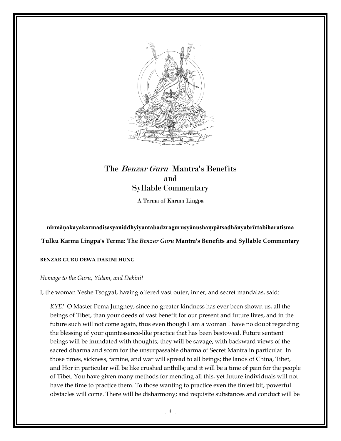

# The Benzar Guru Mantra's Benefits and Syllable Commentary

A Terma of Karma Lingpa

## **nirmāṇakayakarmadisasyaniddhyiyantabadzragurusy akayakarmadisasyaniddhyiyantabadzragurusyānushaṃpātsadhānyabrīrtabiharatisma rtabiharatisma**

 $T$ ulku Karma Lingpa's Terma: The *Benzar Guru* Mantra's Benefits and Syllable Commentary

#### **BENZAR GURU DEWA DAKINI HUNG INI HUNG**

### *Homage to the Guru, Yidam, and Dakini Dakini!*

I, the woman Yeshe Tsogyal, having offered vast outer, inner, and secret mandalas, said:

*KYE!* O Master Pema Jungney Pema Jungney, since no greater kindness has ever been shown been shown us, all the beings of Tibet, than your deeds of vast benefit for our present and future lives, and in the future such will not come again, thus even though I am a woman I have no doubt regarding<br>the blessing of your quintessence-like practice that has been bestowed. Future sentient<br>beings will be inundated with thoughts; they the blessing of your quintessence-like practice that has been bestowed. Future sentient beings will be inundated with thoughts; they will be savage, with backward views of the sacred dharma and scorn for the unsurpassable dharma of Secret Mantra in particular. sacred dharma and scorn for the unsurpassable dharma of Secret Mantra in particular. In<br>those times, sickness, famine, and war will spread to all beings; the lands of China, Tibet, and Hor in particular will be like crushed anthills; and it will be a time of pain for the people and Hor in particular will be like crushed anthills; and it will be a time of pain for the people<br>of Tibet. You have given many methods for mending all this, yet future individuals will not have the time to practice them. To those wanting to practice even the tiniest bit, powerful obstacles will come. There will be disharmony; and requisite substances and conduct will be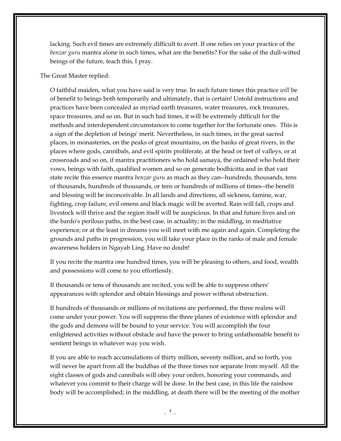lacking. Such evil times are extremely difficult to avert. If one relies on your practice of the *benzar guru* mantra alone in such times, what are the benefits? For the sake of the dull-witted beings of the future, teach this, I pray.

#### The Great Master replied:

O faithful maiden, what you have said is very true. In such future times this practice *will* be of benefit to beings both temporarily and ultimately, that is certain! Untold instructions and practices have been concealed as myriad earth treasures, water treasures, rock treasures, space treasures, and so on. But in such bad times, it will be extremely difficult for the methods and interdependent circumstances to come together for the fortunate ones. This is a sign of the depletion of beings' merit. Nevertheless, in such times, in the great sacred places, in monasteries, on the peaks of great mountains, on the banks of great rivers, in the places where gods, cannibals, and evil spirits proliferate, at the head or feet of valleys, or at crossroads and so on, if mantra practitioners who hold samaya, the ordained who hold their vows, beings with faith, qualified women and so on generate bodhicitta and in that vast state recite this essence mantra *benzar guru* as much as they can--hundreds, thousands, tens of thousands, hundreds of thousands, or tens or hundreds of millions of times--the benefit and blessing will be inconceivable. In all lands and directions, all sickness, famine, war, fighting, crop failure, evil omens and black magic will be averted. Rain will fall, crops and livestock will thrive and the region itself will be auspicious. In that and future lives and on the bardo's perilous paths, in the best case, in actuality; in the middling, in meditative experience; or at the least in dreams you will meet with me again and again. Completing the grounds and paths in progression, you will take your place in the ranks of male and female awareness holders in Ngayab Ling. Have no doubt!

If you recite the mantra one hundred times, you will be pleasing to others, and food, wealth and possessions will come to you effortlessly.

If thousands or tens of thousands are recited, you will be able to suppress others' appearances with splendor and obtain blessings and power without obstruction.

If hundreds of thousands or millions of recitations are performed, the three realms will come under your power. You will suppress the three planes of existence with splendor and the gods and demons will be bound to your service. You will accomplish the four enlightened activities without obstacle and have the power to bring unfathomable benefit to sentient beings in whatever way you wish.

If you are able to reach accumulations of thirty million, seventy million, and so forth, you will never be apart from all the buddhas of the three times nor separate from myself. All the eight classes of gods and cannibals will obey your orders, honoring your commands, and whatever you commit to their charge will be done. In the best case, in this life the rainbow body will be accomplished; in the middling, at death there will be the meeting of the mother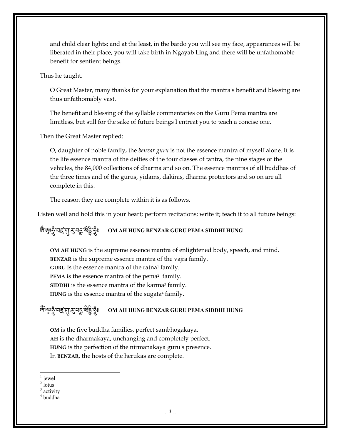and child clear lights; and at the least, in the bardo you will see my face, appearances will be liberated in their place, you will take birth in Ngayab Ling and there will be unfathomable benefit for sentient beings.

Thus he taught.

O Great Master, many thanks for your explanation that the mantra's benefit and blessing are thus unfathomably vast.

The benefit and blessing of the syllable commentaries on the Guru Pema mantra are limitless, but still for the sake of future beings I entreat you to teach a concise one.

Then the Great Master replied:

O, daughter of noble family, the *benzar guru* is not the essence mantra of myself alone. It is the life essence mantra of the deities of the four classes of tantra, the nine stages of the vehicles, the 84,000 collections of dharma and so on. The essence mantras of all buddhas of the three times and of the gurus, yidams, dakinis, dharma protectors and so on are all complete in this.

The reason they are complete within it is as follows.

Listen well and hold this in your heart; perform recitations; write it; teach it to all future beings:

#### জ্ঞ্জেত্ত্বীনই প্ৰ $\mathcal{L}$ বিষ্ট্ৰ <sup>A</sup>->;**OM AH HUNG BENZAR GURU PEMA SIDDHI HUNG**

**OM AH HUNG** is the supreme essence mantra of enlightened body, speech, and mind. **BENZAR** is the supreme essence mantra of the vajra family. GURU is the essence mantra of the ratna<sup>1</sup> family. PEMA is the essence mantra of the pema<sup>2</sup> family. SIDDHI is the essence mantra of the karma<sup>3</sup> family. HUNG is the essence mantra of the sugata<sup>4</sup> family.

#### <-=>-2#-\$-<-0E-? A: <sup>A</sup>->;**OM AH HUNG BENZAR GURU PEMA SIDDHI HUNG**

**OM** is the five buddha families, perfect sambhogakaya. **AH** is the dharmakaya, unchanging and completely perfect. **HUNG** is the perfection of the nirmanakaya guru's presence. In **BENZAR**, the hosts of the herukas are complete.

1 jewel

 $\overline{a}$ 

 $2$  lotus

<sup>&</sup>lt;sup>3</sup> activity

<sup>4</sup> buddha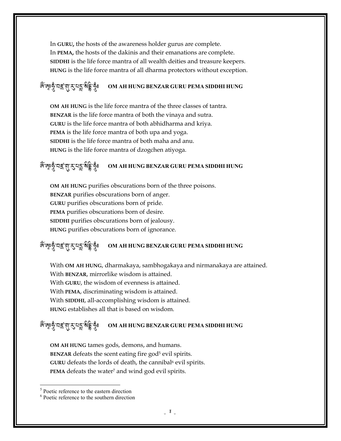In **GURU,** the hosts of the awareness holder gurus are complete. In **PEMA,** the hosts of the dakinis and their emanations are complete. **SIDDHI** is the life force mantra of all wealth deities and treasure keepers. **HUNG** is the life force mantra of all dharma protectors without exception.

#### <-=>-2#-\$-<-0E-? A: <sup>A</sup>->;**OM AH HUNG BENZAR GURU PEMA SIDDHI HUNG**

**OM AH HUNG** is the life force mantra of the three classes of tantra. **BENZAR** is the life force mantra of both the vinaya and sutra. **GURU** is the life force mantra of both abhidharma and kriya. **PEMA** is the life force mantra of both upa and yoga. **SIDDHI** is the life force mantra of both maha and anu. **HUNG** is the life force mantra of dzogchen atiyoga.

#### জ্ঞ্জেত্ত্বীনই প্ৰ $\mathcal{L}$ বিষ্ট্ৰ <sup>A</sup>->;**OM AH HUNG BENZAR GURU PEMA SIDDHI HUNG**

**OM AH HUNG** purifies obscurations born of the three poisons. **BENZAR** purifies obscurations born of anger. **GURU** purifies obscurations born of pride. **PEMA** purifies obscurations born of desire. **SIDDHI** purifies obscurations born of jealousy. **HUNG** purifies obscurations born of ignorance.

#### <-=>-2#-\$-<-0E-? A: <sup>A</sup>->;**OM AH HUNG BENZAR GURU PEMA SIDDHI HUNG**

With **OM AH HUNG**, dharmakaya, sambhogakaya and nirmanakaya are attained. With **BENZAR**, mirrorlike wisdom is attained. With **GURU**, the wisdom of evenness is attained. With **PEMA**, discriminating wisdom is attained. With **SIDDHI**, all-accomplishing wisdom is attained. **HUNG** establishes all that is based on wisdom.

#### জ্ঞ্জেত্ত্বীনই প্ৰ $\mathcal{L}$ বিষ্ট্ৰ <sup>A</sup>->;**OM AH HUNG BENZAR GURU PEMA SIDDHI HUNG**

**OM AH HUNG** tames gods, demons, and humans. **BENZAR** defeats the scent eating fire god<sup>5</sup> evil spirits. GURU defeats the lords of death, the cannibal<sup>6</sup> evil spirits. PEMA defeats the water<sup>7</sup> and wind god evil spirits.

 $\overline{a}$ 

<sup>&</sup>lt;sup>5</sup> Poetic reference to the eastern direction

<sup>6</sup> Poetic reference to the southern direction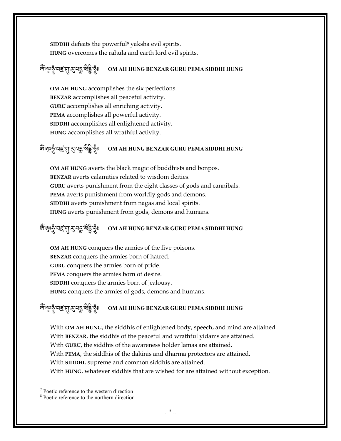SIDDHI defeats the powerful<sup>8</sup> yaksha evil spirits. **HUNG** overcomes the rahula and earth lord evil spirits.

#### <-=>-2#-\$-<-0E-? A: <sup>A</sup>->;**OM AH HUNG BENZAR GURU PEMA SIDDHI HUNG**

**OM AH HUNG** accomplishes the six perfections. **BENZAR** accomplishes all peaceful activity. **GURU** accomplishes all enriching activity. **PEMA** accomplishes all powerful activity. **SIDDHI** accomplishes all enlightened activity. **HUNG** accomplishes all wrathful activity.

#### জ্ঞ্জেত্ত্বীনই প্ৰ $\mathcal{L}$ বিষ্ট্ৰ <sup>A</sup>->;**OM AH HUNG BENZAR GURU PEMA SIDDHI HUNG**

**OM AH HUNG** averts the black magic of buddhists and bonpos. **BENZAR** averts calamities related to wisdom deities. **GURU** averts punishment from the eight classes of gods and cannibals. **PEMA** averts punishment from worldly gods and demons. **SIDDHI** averts punishment from nagas and local spirits. **HUNG** averts punishment from gods, demons and humans.

#### <-=>-2#-\$-<-0E-? A: <sup>A</sup>->;**OM AH HUNG BENZAR GURU PEMA SIDDHI HUNG**

**OM AH HUNG** conquers the armies of the five poisons. **BENZAR** conquers the armies born of hatred. **GURU** conquers the armies born of pride. **PEMA** conquers the armies born of desire. **SIDDHI** conquers the armies born of jealousy. **HUNG** conquers the armies of gods, demons and humans.

#### জ্ঞ্জেত্ত্বীনই প্ৰ $\mathcal{L}$ বিষ্ট্ৰ <sup>A</sup>->;**OM AH HUNG BENZAR GURU PEMA SIDDHI HUNG**

With **OM AH HUNG**, the siddhis of enlightened body, speech, and mind are attained. With **BENZAR**, the siddhis of the peaceful and wrathful yidams are attained. With **GURU**, the siddhis of the awareness holder lamas are attained. With **PEMA**, the siddhis of the dakinis and dharma protectors are attained. With **SIDDHI**, supreme and common siddhis are attained. With **HUNG**, whatever siddhis that are wished for are attained without exception.

7 Poetic reference to the western direction

 $\overline{a}$ 

8 Poetic reference to the northern direction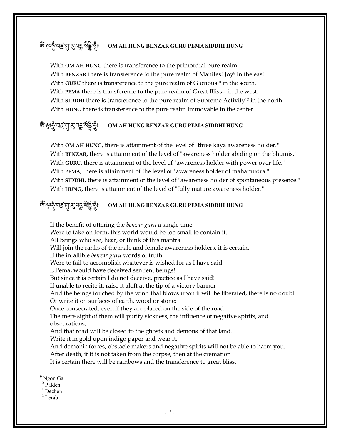#### জ্ঞ্জেত্ত্বীনই প্ৰ $\mathcal{L}$ বিষ্ট্ৰ <sup>A</sup>->;**OM AH HUNG BENZAR GURU PEMA SIDDHI HUNG**

With **OM AH HUNG** there is transference to the primordial pure realm. With **BENZAR** there is transference to the pure realm of Manifest Joy<sup>9</sup> in the east. With **GURU** there is transference to the pure realm of Glorious <sup>10</sup> in the south. With **PEMA** there is transference to the pure realm of Great Bliss<sup>11</sup> in the west. With **SIDDHI** there is transference to the pure realm of Supreme Activity<sup>12</sup> in the north. With **HUNG** there is transference to the pure realm Immovable in the center.

#### <-=>-2#-\$-<-0E-? A: <sup>A</sup>->;**OM AH HUNG BENZAR GURU PEMA SIDDHI HUNG**

With **OM AH HUNG**, there is attainment of the level of "three kaya awareness holder." With **BENZAR**, there is attainment of the level of "awareness holder abiding on the bhumis." With **GURU**, there is attainment of the level of "awareness holder with power over life." With **PEMA**, there is attainment of the level of "awareness holder of mahamudra." With **SIDDHI**, there is attainment of the level of "awareness holder of spontaneous presence." With **HUNG**, there is attainment of the level of "fully mature awareness holder."

#### জ্ঞ্জেত্ত্বীনই প্ৰ $\mathcal{L}$ বিষ্ট্ৰ <sup>A</sup>->;**OM AH HUNG BENZAR GURU PEMA SIDDHI HUNG**

If the benefit of uttering the *benzar guru* a single time Were to take on form, this world would be too small to contain it. All beings who see, hear, or think of this mantra Will join the ranks of the male and female awareness holders, it is certain. If the infallible *benzar guru* words of truth Were to fail to accomplish whatever is wished for as I have said, I, Pema, would have deceived sentient beings! But since it is certain I do not deceive, practice as I have said! If unable to recite it, raise it aloft at the tip of a victory banner And the beings touched by the wind that blows upon it will be liberated, there is no doubt. Or write it on surfaces of earth, wood or stone: Once consecrated, even if they are placed on the side of the road The mere sight of them will purify sickness, the influence of negative spirits, and obscurations, And that road will be closed to the ghosts and demons of that land. Write it in gold upon indigo paper and wear it, And demonic forces, obstacle makers and negative spirits will not be able to harm you. After death, if it is not taken from the corpse, then at the cremation It is certain there will be rainbows and the transference to great bliss.

 $\overline{a}$ 

<sup>&</sup>lt;sup>9</sup> Ngon Ga

<sup>&</sup>lt;sup>10</sup> Palden

<sup>&</sup>lt;sup>11</sup> Dechen

 $12$  Lerab